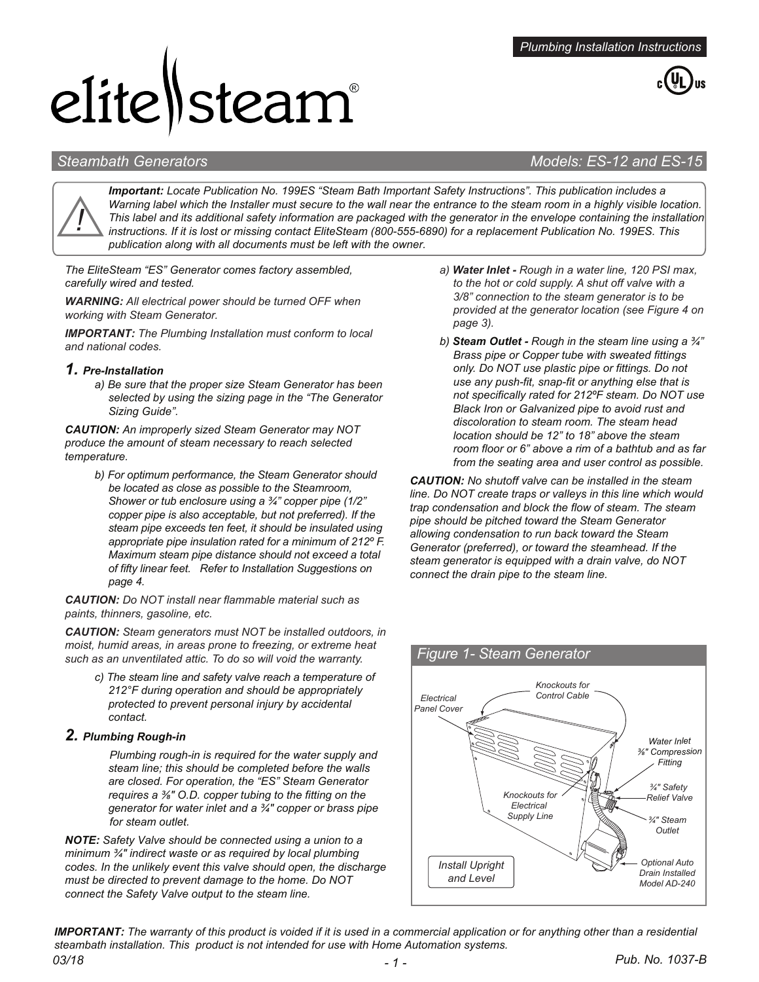# elite Steam®



# *Steambath Generators Models: ES-12 and ES-15*



*Important: Locate Publication No. 199ES "Steam Bath Important Safety Instructions". This publication includes a Warning label which the Installer must secure to the wall near the entrance to the steam room in a highly visible location. This label and its additional safety information are packaged with the generator in the envelope containing the installation instructions. If it is lost or missing contact EliteSteam (800-555-6890) for a replacement Publication No. 199ES. This publication along with all documents must be left with the owner.* 

*The EliteSteam "ES" Generator comes factory assembled, carefully wired and tested.*

*WARNING: All electrical power should be turned OFF when working with Steam Generator.*

*IMPORTANT: The Plumbing Installation must conform to local and national codes.* 

#### *1. Pre-Installation*

*a) Be sure that the proper size Steam Generator has been selected by using the sizing page in the "The Generator Sizing Guide".* 

*CAUTION: An improperly sized Steam Generator may NOT produce the amount of steam necessary to reach selected temperature.*

*b) For optimum performance, the Steam Generator should be located as close as possible to the Steamroom, Shower or tub enclosure using a ¾" copper pipe (1/2" copper pipe is also acceptable, but not preferred). If the steam pipe exceeds ten feet, it should be insulated using appropriate pipe insulation rated for a minimum of 212º F. Maximum steam pipe distance should not exceed a total of fifty linear feet. Refer to Installation Suggestions on page 4.*

*CAUTION: Do NOT install near flammable material such as paints, thinners, gasoline, etc.* 

*CAUTION: Steam generators must NOT be installed outdoors, in moist, humid areas, in areas prone to freezing, or extreme heat such as an unventilated attic. To do so will void the warranty.*

*c) The steam line and safety valve reach a temperature of 212°F during operation and should be appropriately protected to prevent personal injury by accidental contact.*

# *2. Plumbing Rough-in*

 *Plumbing rough-in is required for the water supply and steam line; this should be completed before the walls are closed. For operation, the "ES" Steam Generator requires a ⅜" O.D. copper tubing to the fitting on the generator for water inlet and a ¾" copper or brass pipe for steam outlet.*

*NOTE: Safety Valve should be connected using a union to a minimum ¾" indirect waste or as required by local plumbing codes. In the unlikely event this valve should open, the discharge must be directed to prevent damage to the home. Do NOT connect the Safety Valve output to the steam line.*

- *a) Water Inlet Rough in a water line, 120 PSI max, to the hot or cold supply. A shut off valve with a 3/8" connection to the steam generator is to be provided at the generator location (see Figure 4 on page 3).*
- *b) Steam Outlet - Rough in the steam line using a ¾" Brass pipe or Copper tube with sweated fittings only. Do NOT use plastic pipe or fittings. Do not use any push-fit, snap-fit or anything else that is not specifically rated for 212ºF steam. Do NOT use Black Iron or Galvanized pipe to avoid rust and discoloration to steam room. The steam head location should be 12" to 18" above the steam room floor or 6" above a rim of a bathtub and as far from the seating area and user control as possible.*

*CAUTION: No shutoff valve can be installed in the steam line. Do NOT create traps or valleys in this line which would trap condensation and block the flow of steam. The steam pipe should be pitched toward the Steam Generator allowing condensation to run back toward the Steam Generator (preferred), or toward the steamhead. If the steam generator is equipped with a drain valve, do NOT connect the drain pipe to the steam line.*



# *03/18 - 1 - Pub. No. 1037-B IMPORTANT: The warranty of this product is voided if it is used in a commercial application or for anything other than a residential steambath installation. This product is not intended for use with Home Automation systems.*

### *Figure 1- Steam Generator*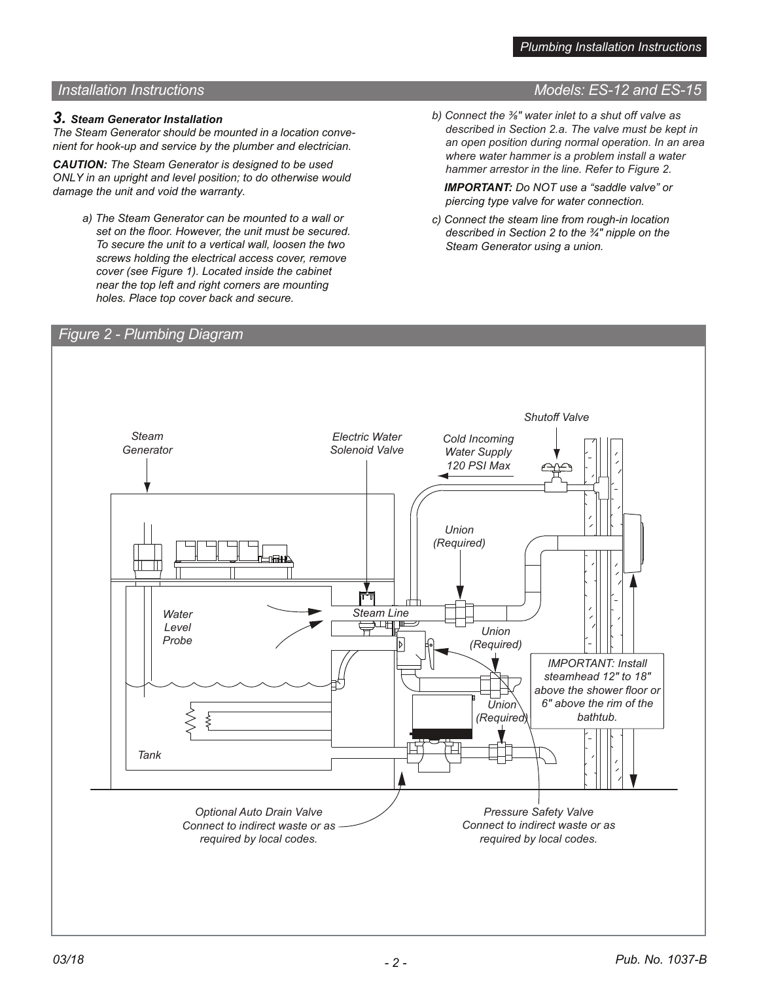# *Installation Instructions Models: ES-12 and ES-15*

### *3. Steam Generator Installation*

*The Steam Generator should be mounted in a location convenient for hook-up and service by the plumber and electrician.*

*CAUTION: The Steam Generator is designed to be used ONLY in an upright and level position; to do otherwise would damage the unit and void the warranty.*

- *a) The Steam Generator can be mounted to a wall or set on the floor. However, the unit must be secured. To secure the unit to a vertical wall, loosen the two screws holding the electrical access cover, remove cover (see Figure 1). Located inside the cabinet near the top left and right corners are mounting holes. Place top cover back and secure.*
- *b) Connect the ⅜" water inlet to a shut off valve as described in Section 2.a. The valve must be kept in an open position during normal operation. In an area where water hammer is a problem install a water hammer arrestor in the line. Refer to Figure 2.*

 *IMPORTANT: Do NOT use a "saddle valve" or piercing type valve for water connection.*

*c) Connect the steam line from rough-in location described in Section 2 to the ¾" nipple on the Steam Generator using a union.*

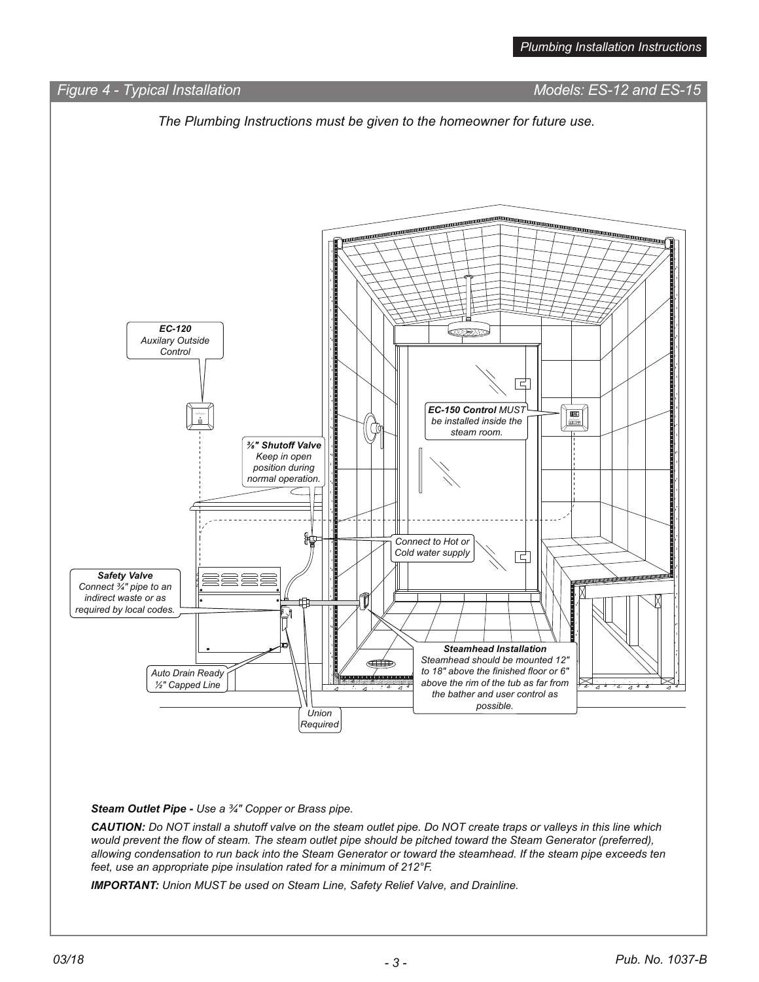

*IMPORTANT: Union MUST be used on Steam Line, Safety Relief Valve, and Drainline.*